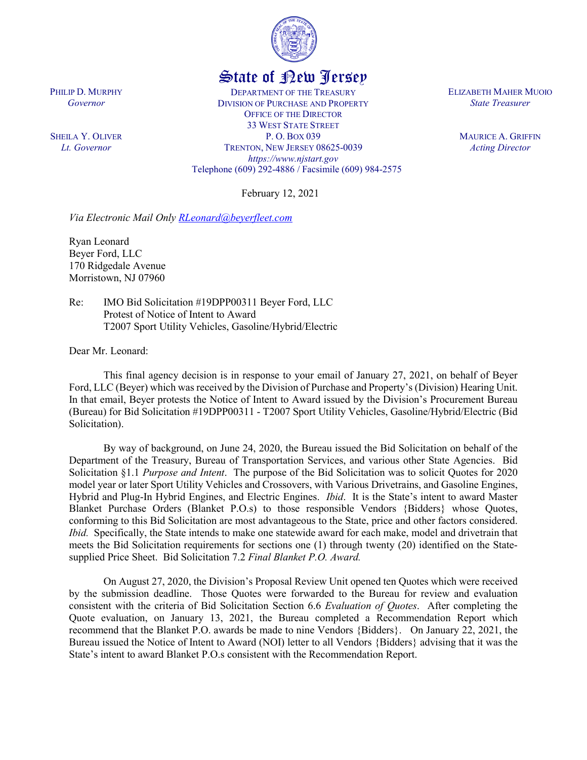

## State of New Jersey

DEPARTMENT OF THE TREASURY DIVISION OF PURCHASE AND PROPERTY OFFICE OF THE DIRECTOR 33 WEST STATE STREET P. O. BOX 039 TRENTON, NEW JERSEY 08625-0039 *https://www.njstart.gov* Telephone (609) 292-4886 / Facsimile (609) 984-2575

February 12, 2021

*Via Electronic Mail Only [RLeonard@beyerfleet.com](mailto:RLeonard@beyerfleet.com)*

Ryan Leonard Beyer Ford, LLC 170 Ridgedale Avenue Morristown, NJ 07960

Re: IMO Bid Solicitation #19DPP00311 Beyer Ford, LLC Protest of Notice of Intent to Award T2007 Sport Utility Vehicles, Gasoline/Hybrid/Electric

Dear Mr. Leonard:

This final agency decision is in response to your email of January 27, 2021, on behalf of Beyer Ford, LLC (Beyer) which was received by the Division of Purchase and Property's (Division) Hearing Unit. In that email, Beyer protests the Notice of Intent to Award issued by the Division's Procurement Bureau (Bureau) for Bid Solicitation #19DPP00311 - T2007 Sport Utility Vehicles, Gasoline/Hybrid/Electric (Bid Solicitation).

By way of background, on June 24, 2020, the Bureau issued the Bid Solicitation on behalf of the Department of the Treasury, Bureau of Transportation Services, and various other State Agencies. Bid Solicitation §1.1 *Purpose and Intent*. The purpose of the Bid Solicitation was to solicit Quotes for 2020 model year or later Sport Utility Vehicles and Crossovers, with Various Drivetrains, and Gasoline Engines, Hybrid and Plug-In Hybrid Engines, and Electric Engines. *Ibid*. It is the State's intent to award Master Blanket Purchase Orders (Blanket P.O.s) to those responsible Vendors {Bidders} whose Quotes, conforming to this Bid Solicitation are most advantageous to the State, price and other factors considered. *Ibid.* Specifically, the State intends to make one statewide award for each make, model and drivetrain that meets the Bid Solicitation requirements for sections one (1) through twenty (20) identified on the Statesupplied Price Sheet. Bid Solicitation 7.2 *Final Blanket P.O. Award.*

On August 27, 2020, the Division's Proposal Review Unit opened ten Quotes which were received by the submission deadline. Those Quotes were forwarded to the Bureau for review and evaluation consistent with the criteria of Bid Solicitation Section 6.6 *Evaluation of Quotes*. After completing the Quote evaluation, on January 13, 2021, the Bureau completed a Recommendation Report which recommend that the Blanket P.O. awards be made to nine Vendors {Bidders}. On January 22, 2021, the Bureau issued the Notice of Intent to Award (NOI) letter to all Vendors {Bidders} advising that it was the State's intent to award Blanket P.O.s consistent with the Recommendation Report.

ELIZABETH MAHER MUOIO *State Treasurer*

> MAURICE A. GRIFFIN *Acting Director*

PHILIP D. MURPHY *Governor*

SHEILA Y. OLIVER *Lt. Governor*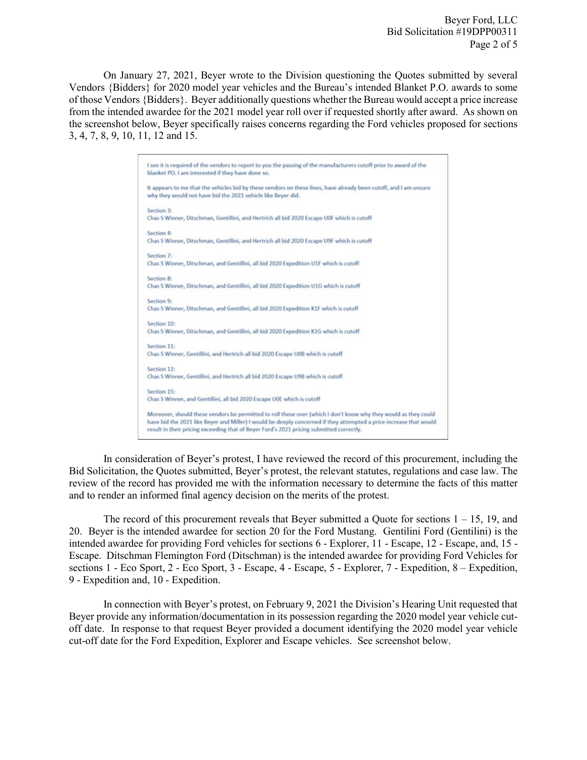Beyer Ford, LLC Bid Solicitation #19DPP00311 Page 2 of 5

On January 27, 2021, Beyer wrote to the Division questioning the Quotes submitted by several Vendors {Bidders} for 2020 model year vehicles and the Bureau's intended Blanket P.O. awards to some of those Vendors {Bidders}. Beyer additionally questions whether the Bureau would accept a price increase from the intended awardee for the 2021 model year roll over if requested shortly after award. As shown on the screenshot below, Beyer specifically raises concerns regarding the Ford vehicles proposed for sections 3, 4, 7, 8, 9, 10, 11, 12 and 15.

|             | I see it is required of the vendors to report to you the passing of the manufacturers cutoff prior to award of the                                                                                             |
|-------------|----------------------------------------------------------------------------------------------------------------------------------------------------------------------------------------------------------------|
|             | blanket PO. I am interested if they have done so.                                                                                                                                                              |
|             | It appears to me that the vehicles bid by these vendors on these lines, have already been cutoff, and I am unsure                                                                                              |
|             | why they would not have bid the 2021 vehicle like Beyer did.                                                                                                                                                   |
| Section 3:  |                                                                                                                                                                                                                |
|             | Chas S Winner, Ditschman, Gentillini, and Hertrich all bid 2020 Escape U0F which is cutoff                                                                                                                     |
| Section 4:  |                                                                                                                                                                                                                |
|             | Chas S Winner, Ditschman, Gentillini, and Hertrich all bid 2020 Escape U9F which is cutoff                                                                                                                     |
| Section 7:  |                                                                                                                                                                                                                |
|             | Chas S Winner, Ditschman, and Gentillini, all bid 2020 Expedition U1F which is cutoff                                                                                                                          |
| Section 8:  |                                                                                                                                                                                                                |
|             | Chas S Winner, Ditschman, and Gentillini, all bid 2020 Expedition U1G which is cutoff                                                                                                                          |
| Section 9:  |                                                                                                                                                                                                                |
|             | Chas S Winner, Ditschman, and Gentillini, all bid 2020 Expedition K1F which is cutoff                                                                                                                          |
| Section 10: |                                                                                                                                                                                                                |
|             | Chas S Winner, Ditschman, and Gentillini, all bid 2020 Expedition K1G which is cutoff                                                                                                                          |
| Section 11: |                                                                                                                                                                                                                |
|             | Chas S Winner, Gentillini, and Hertrich all bid 2020 Escape U0B which is cutoff                                                                                                                                |
| Section 12: |                                                                                                                                                                                                                |
|             | Chas S Winner, Gentillini, and Hertrich all bid 2020 Escape U9B which is cutoff                                                                                                                                |
| Section 15: |                                                                                                                                                                                                                |
|             | Chas S Winner, and Gentillini, all bid 2020 Escape U0E which is cutoff                                                                                                                                         |
|             | Moreover, should these vendors be permitted to roll these over (which I don't know why they would as they could                                                                                                |
|             | have bid the 2021 like Beyer and Miller) I would be deeply concerned if they attempted a price increase that would<br>result in their pricing exceeding that of Beyer Ford's 2021 pricing submitted correctly. |

In consideration of Beyer's protest, I have reviewed the record of this procurement, including the Bid Solicitation, the Quotes submitted, Beyer's protest, the relevant statutes, regulations and case law. The review of the record has provided me with the information necessary to determine the facts of this matter and to render an informed final agency decision on the merits of the protest.

The record of this procurement reveals that Beyer submitted a Quote for sections  $1 - 15$ , 19, and 20. Beyer is the intended awardee for section 20 for the Ford Mustang. Gentilini Ford (Gentilini) is the intended awardee for providing Ford vehicles for sections 6 - Explorer, 11 - Escape, 12 - Escape, and, 15 - Escape. Ditschman Flemington Ford (Ditschman) is the intended awardee for providing Ford Vehicles for sections 1 - Eco Sport, 2 - Eco Sport, 3 - Escape, 4 - Escape, 5 - Explorer, 7 - Expedition, 8 – Expedition, 9 - Expedition and, 10 - Expedition.

In connection with Beyer's protest, on February 9, 2021 the Division's Hearing Unit requested that Beyer provide any information/documentation in its possession regarding the 2020 model year vehicle cutoff date. In response to that request Beyer provided a document identifying the 2020 model year vehicle cut-off date for the Ford Expedition, Explorer and Escape vehicles. See screenshot below.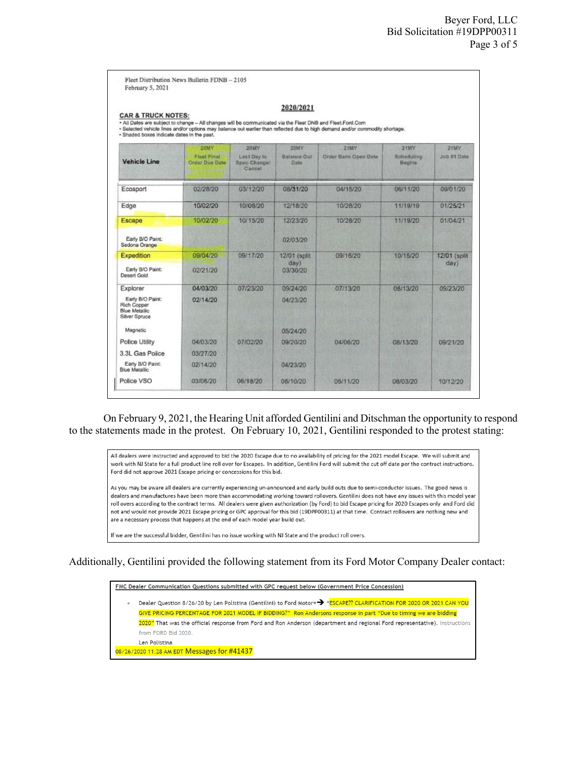|                                                                                                                                                                                                                                                                                                                          |                                             |                                       | 2020/2021                  |                      |                      |               |  |  |
|--------------------------------------------------------------------------------------------------------------------------------------------------------------------------------------------------------------------------------------------------------------------------------------------------------------------------|---------------------------------------------|---------------------------------------|----------------------------|----------------------|----------------------|---------------|--|--|
| <b>CAR &amp; TRUCK NOTES:</b><br>. All Dates are subject to change - All changes will be communicated via the Fleet DNB and Fleet Ford Com<br>- Selected vehicle lines and/or options may balance out earlier than reflected due to high demand and/or commodity shortage.<br>· Shaded boxes indicate dates in the past. |                                             |                                       |                            |                      |                      |               |  |  |
|                                                                                                                                                                                                                                                                                                                          | <b>20MY</b>                                 | 20MY                                  | 20MY                       | 21MY                 | 21MY                 | <b>21MY</b>   |  |  |
| <b>Vehicle Line</b>                                                                                                                                                                                                                                                                                                      | <b>Fleet Final</b><br><b>Order Due Date</b> | Last Day to<br>Spec Change/<br>Cancel | <b>Balance Out</b><br>Date | Order Bank Open Date | Scheduling<br>Begins | Job #1 Date   |  |  |
| Ecosport                                                                                                                                                                                                                                                                                                                 | 02/28/20                                    | 03/12/20                              | 08/31/20                   | 04/15/20             | 06/11/20             | 09/01/20      |  |  |
| Edge                                                                                                                                                                                                                                                                                                                     | 10/02/20                                    | 10/08/20                              | 12/18/20                   | 10/28/20             | 11/19/19             | 01/25/21      |  |  |
| Escape                                                                                                                                                                                                                                                                                                                   | 10/02/20                                    | 10/15/20                              | 12/23/20                   | 10/28/20             | 11/19/20             | 01/04/21      |  |  |
| Early B/O Paint:<br>Sedona Orange                                                                                                                                                                                                                                                                                        |                                             |                                       | 02/03/20                   |                      |                      |               |  |  |
| <b>Expedition</b>                                                                                                                                                                                                                                                                                                        | 09/04/20                                    | 09/17/20                              | 12/01 (split)              | 09/16/20             | 10/15/20             | 12/01 (split) |  |  |
| Early B/O Paint:<br>Desert Gold                                                                                                                                                                                                                                                                                          | 02/21/20                                    |                                       | day)<br>03/30/20           |                      |                      | day)          |  |  |
| Explorer                                                                                                                                                                                                                                                                                                                 | 04/03/20                                    | 07/23/20                              | 09/24/20                   | 07/13/20             | 08/13/20             | 09/23/20      |  |  |
| Early B/O Paint:<br>Rich Copper<br><b>Blue Metallic</b><br>Silver Spruce                                                                                                                                                                                                                                                 | 02/14/20                                    |                                       | 04/23/20                   |                      |                      |               |  |  |
| Magnetic                                                                                                                                                                                                                                                                                                                 |                                             |                                       | 05/24/20                   |                      |                      |               |  |  |
| Police Utility                                                                                                                                                                                                                                                                                                           | 04/03/20                                    | 07/02/20                              | 09/20/20                   | 04/06/20             | 08/13/20             | 09/21/20      |  |  |
| 3.3L Gas Police                                                                                                                                                                                                                                                                                                          | 03/27/20                                    |                                       |                            |                      |                      |               |  |  |
| Early B/O Paint:<br>Blue Metallic                                                                                                                                                                                                                                                                                        | 02/14/20                                    |                                       | 04/23/20                   |                      |                      |               |  |  |
| Police VSO                                                                                                                                                                                                                                                                                                               | 03/06/20                                    | 06/18/20                              | 08/10/20                   | 05/11/20             | 08/03/20             | 10/12/20      |  |  |

On February 9, 2021, the Hearing Unit afforded Gentilini and Ditschman the opportunity to respond to the statements made in the protest. On February 10, 2021, Gentilini responded to the protest stating:

All dealers were instructed and approved to bid the 2020 Escape due to no availability of pricing for the 2021 model Escape. We will submit and work with NJ State for a full product line roll over for Escapes. In addition, Gentilini Ford will submit the cut off date per the contract instructions. Ford did not approve 2021 Escape pricing or concessions for this bid.

As you may be aware all dealers are currently experiencing un-announced and early build outs due to semi-conductor issues. The good news is dealers and manufactures have been more than accommodating working toward rollovers. Gentilini does not have any issues with this model year roll overs according to the contract terms. All dealers were given authorization (by Ford) to bid Escape pricing for 2020 Escapes only and Ford did not and would not provide 2021 Escape pricing or GPC approval for this bid (19DPP00311) at that time. Contract rollovers are nothing new and are a necessary process that happens at the end of each model year build out.

If we are the successful bidder, Gentilini has no issue working with NJ State and the product roll overs.

## Additionally, Gentilini provided the following statement from its Ford Motor Company Dealer contact:

FMC Dealer Communication Questions submitted with GPC request below (Government Price Concession) Dealer Question 8/26/20 by Len Polistina (Gentilini) to Ford Motor=> "ESCAPE?? CLARIFICATION FOR 2020 OR 2021 CAN YOU  $\bullet$ GIVE PRICING PERCENTAGE FOR 2021 MODEL IF BIDDING?" Ron Andersons response in part "Due to timing we are bidding 2020" That was the official response from Ford and Ron Anderson (department and regional Ford representative). Instructions from FORD Bid 2020. Len Polistina 08/26/2020 11:28 AM EDT Messages for #41437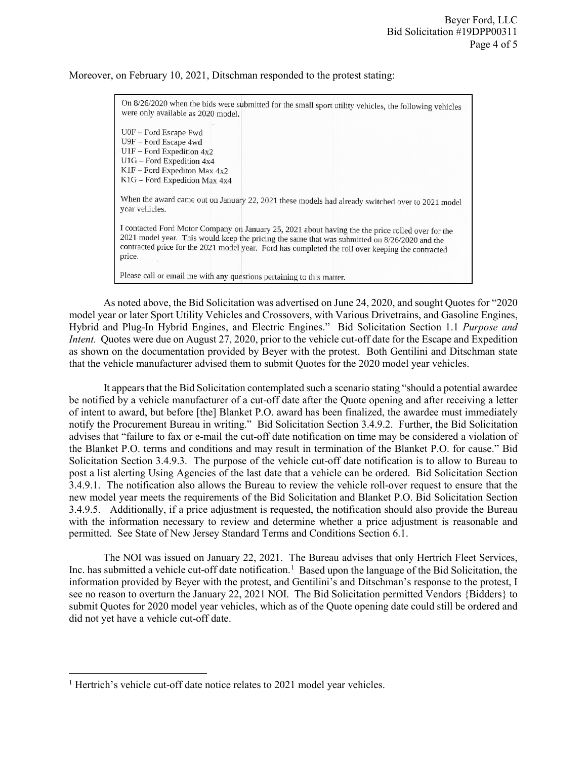## Moreover, on February 10, 2021, Ditschman responded to the protest stating:

| On 8/26/2020 when the bids were submitted for the small sport utility vehicles, the following vehicles<br>were only available as 2020 model.                                                                                                                                                                      |
|-------------------------------------------------------------------------------------------------------------------------------------------------------------------------------------------------------------------------------------------------------------------------------------------------------------------|
| U0F - Ford Escape Fwd<br>U9F - Ford Escape 4wd<br>$U1F$ – Ford Expedition 4x2<br>$U1G$ – Ford Expedition 4x4<br>$K1F$ – Ford Expediton Max 4x2<br>K1G – Ford Expedition Max 4x4                                                                                                                                   |
| When the award came out on January 22, 2021 these models had already switched over to 2021 model<br>year vehicles.                                                                                                                                                                                                |
| I contacted Ford Motor Company on January 25, 2021 about having the the price rolled over for the<br>2021 model year. This would keep the pricing the same that was submitted on 8/26/2020 and the<br>contracted price for the 2021 model year. Ford has completed the roll over keeping the contracted<br>price. |
| Please call or email me with any questions pertaining to this matter.                                                                                                                                                                                                                                             |

As noted above, the Bid Solicitation was advertised on June 24, 2020, and sought Quotes for "2020 model year or later Sport Utility Vehicles and Crossovers, with Various Drivetrains, and Gasoline Engines, Hybrid and Plug-In Hybrid Engines, and Electric Engines." Bid Solicitation Section 1.1 *Purpose and Intent.* Quotes were due on August 27, 2020, prior to the vehicle cut-off date for the Escape and Expedition as shown on the documentation provided by Beyer with the protest. Both Gentilini and Ditschman state that the vehicle manufacturer advised them to submit Quotes for the 2020 model year vehicles.

It appears that the Bid Solicitation contemplated such a scenario stating "should a potential awardee be notified by a vehicle manufacturer of a cut-off date after the Quote opening and after receiving a letter of intent to award, but before [the] Blanket P.O. award has been finalized, the awardee must immediately notify the Procurement Bureau in writing." Bid Solicitation Section 3.4.9.2. Further, the Bid Solicitation advises that "failure to fax or e-mail the cut-off date notification on time may be considered a violation of the Blanket P.O. terms and conditions and may result in termination of the Blanket P.O. for cause." Bid Solicitation Section 3.4.9.3. The purpose of the vehicle cut-off date notification is to allow to Bureau to post a list alerting Using Agencies of the last date that a vehicle can be ordered. Bid Solicitation Section 3.4.9.1. The notification also allows the Bureau to review the vehicle roll-over request to ensure that the new model year meets the requirements of the Bid Solicitation and Blanket P.O. Bid Solicitation Section 3.4.9.5. Additionally, if a price adjustment is requested, the notification should also provide the Bureau with the information necessary to review and determine whether a price adjustment is reasonable and permitted. See State of New Jersey Standard Terms and Conditions Section 6.1.

The NOI was issued on January 22, 2021. The Bureau advises that only Hertrich Fleet Services, Inc. has submitted a vehicle cut-off date notification.<sup>[1](#page-3-0)</sup> Based upon the language of the Bid Solicitation, the information provided by Beyer with the protest, and Gentilini's and Ditschman's response to the protest, I see no reason to overturn the January 22, 2021 NOI. The Bid Solicitation permitted Vendors {Bidders} to submit Quotes for 2020 model year vehicles, which as of the Quote opening date could still be ordered and did not yet have a vehicle cut-off date.

l

<span id="page-3-0"></span><sup>&</sup>lt;sup>1</sup> Hertrich's vehicle cut-off date notice relates to 2021 model year vehicles.